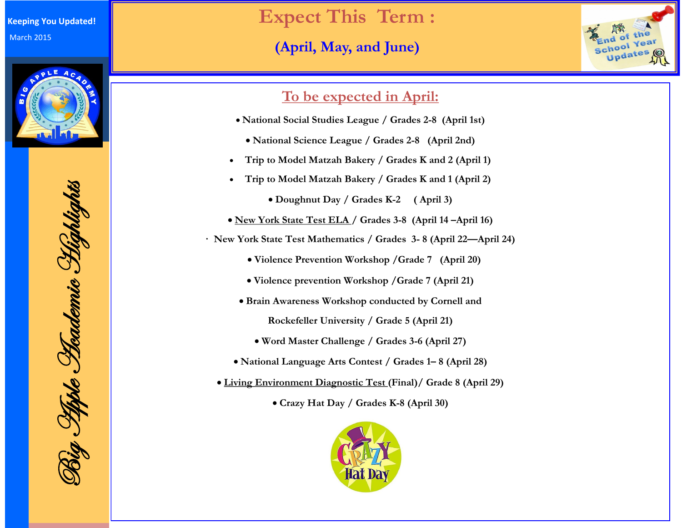

Big Apple Academic Highlights Rig Hyste Heademic Highlights

# **Expect This Term :**

## **(April, May, and June)**



#### **To be expected in April:**

- **National Social Studies League / Grades 2-8 (April 1st)**
	- **National Science League / Grades 2-8 (April 2nd)**
- **Trip to Model Matzah Bakery / Grades K and 2 (April 1)**
- **Trip to Model Matzah Bakery / Grades K and 1 (April 2)**
	- **Doughnut Day / Grades K-2 ( April 3)**
- **New York State Test ELA / Grades 3-8 (April 14 –April 16)**
- **· New York State Test Mathematics / Grades 3- 8 (April 22—April 24)** 
	- **Violence Prevention Workshop /Grade 7 (April 20)**
	- **Violence prevention Workshop /Grade 7 (April 21)**
	- **Brain Awareness Workshop conducted by Cornell and Rockefeller University / Grade 5 (April 21)**
		- **Word Master Challenge / Grades 3-6 (April 27)**
	- **National Language Arts Contest / Grades 1– 8 (April 28)**
	- **Living Environment Diagnostic Test (Final)/ Grade 8 (April 29)**
		- **Crazy Hat Day / Grades K-8 (April 30)**

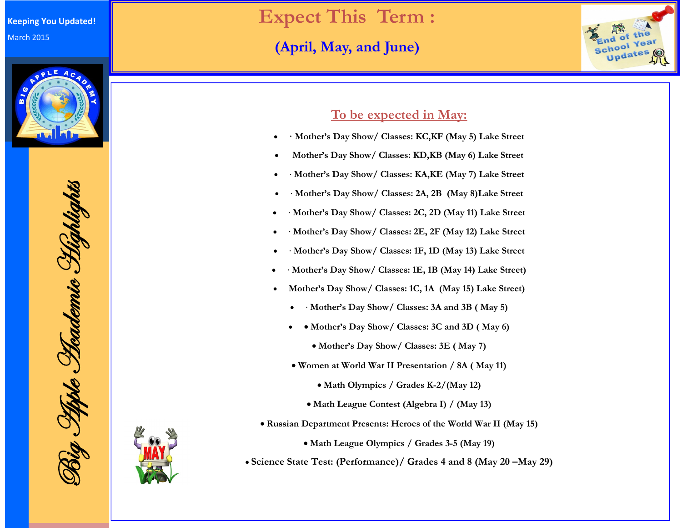

Big Apple Academic Highlights 8ig Pippe Hademie Highlights



## **Expect This Term :**

## **(April, May, and June)**



#### **To be expected in May:**

- **· Mother's Day Show/ Classes: KC,KF (May 5) Lake Street**
- **Mother's Day Show/ Classes: KD,KB (May 6) Lake Street**
- · **Mother's Day Show/ Classes: KA,KE (May 7) Lake Street**
- · **Mother's Day Show/ Classes: 2A, 2B (May 8)Lake Street**
- · **Mother's Day Show/ Classes: 2C, 2D (May 11) Lake Street**
- · **Mother's Day Show/ Classes: 2E, 2F (May 12) Lake Street**
- · **Mother's Day Show/ Classes: 1F, 1D (May 13) Lake Street**
- · **Mother's Day Show/ Classes: 1E, 1B (May 14) Lake Street)**
- **Mother's Day Show/ Classes: 1C, 1A (May 15) Lake Street)**
	- · **Mother's Day Show/ Classes: 3A and 3B ( May 5)**
	- • Mother's Day Show/ Classes: 3C and 3D (May 6)
		- **Mother's Day Show/ Classes: 3E ( May 7)**
	- **Women at World War II Presentation / 8A ( May 11)**
		- **Math Olympics / Grades K-2/(May 12)**
		- **Math League Contest (Algebra I) / (May 13)**
- **Russian Department Presents: Heroes of the World War II (May 15)**
	- **Math League Olympics / Grades 3-5 (May 19)**
- **Science State Test: (Performance)/ Grades 4 and 8 (May 20 –May 29)**